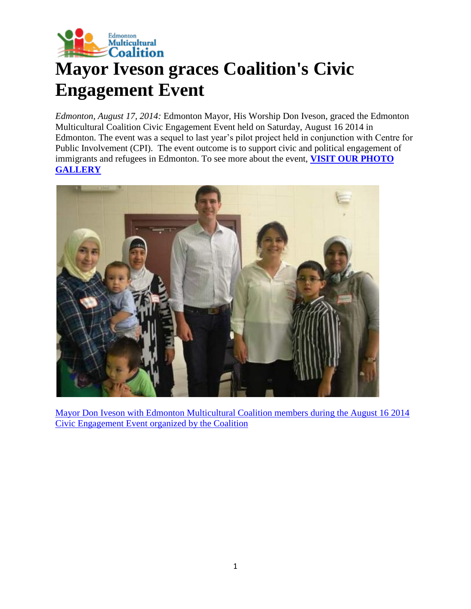

## **Mayor Iveson graces Coalition's Civic Engagement Event**

*Edmonton, August 17, 2014:* Edmonton Mayor, His Worship Don Iveson, graced the Edmonton Multicultural Coalition Civic Engagement Event held on Saturday, August 16 2014 in Edmonton. The event was a sequel to last year's pilot project held in conjunction with Centre for Public Involvement (CPI). The event outcome is to support civic and political engagement of immigrants and refugees in Edmonton. To see more about the event, **[VISIT OUR PHOTO](http://www.emcoalition.ca/photo-gallery/?nggpage=2)  [GALLERY](http://www.emcoalition.ca/photo-gallery/?nggpage=2)**



[Mayor Don Iveson with Edmonton Multicultural Coalition members during the August 16 2014](http://www.emcoalition.ca/wp-content/uploads/2014/08/MayorIveson_Coalition.jpg)  [Civic Engagement Event organized by the Coalition](http://www.emcoalition.ca/wp-content/uploads/2014/08/MayorIveson_Coalition.jpg)